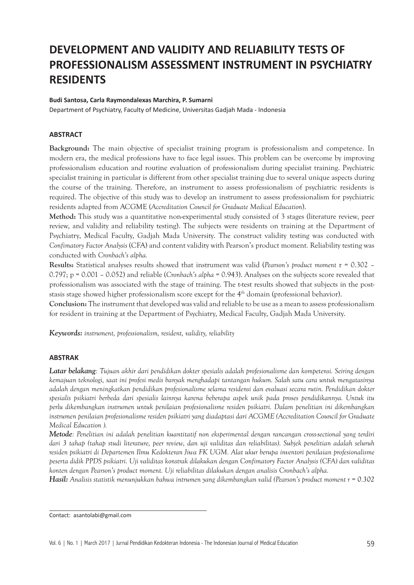# **DEVELOPMENT AND VALIDITY AND RELIABILITY TESTS OF PROFESSIONALISM ASSESSMENT INSTRUMENT IN PSYCHIATRY RESIDENTS**

#### **Budi Santosa, Carla Raymondalexas Marchira, P. Sumarni**

Department of Psychiatry, Faculty of Medicine, Universitas Gadjah Mada - Indonesia

### **ABSTRACT**

**Background:** The main objective of specialist training program is professionalism and competence. In modern era, the medical professions have to face legal issues. This problem can be overcome by improving professionalism education and routine evaluation of professionalism during specialist training. Psychiatric specialist training in particular is different from other specialist training due to several unique aspects during the course of the training. Therefore, an instrument to assess professionalism of psychiatric residents is required. The objective of this study was to develop an instrument to assess professionalism for psychiatric residents adapted from ACGME (*Accreditation Council for Graduate Medical Education*).

**Method:** This study was a quantitative non-experimental study consisted of 3 stages (literature review, peer review, and validity and reliability testing). The subjects were residents on training at the Department of Psychiatry, Medical Faculty, Gadjah Mada University. The construct validity testing was conducted with *Confimatory Factor Analysis* (CFA) and content validity with Pearson's product moment*.* Reliability testing was conducted with *Cronbach's alpha.* 

**Results:** Statistical analyses results showed that instrument was valid (*Pearson's product moment* r = 0.302 – 0.797; p = 0.001 – 0.052) and reliable (*Cronbach's alpha* = 0.943). Analyses on the subjects score revealed that professionalism was associated with the stage of training. The t-test results showed that subjects in the poststasis stage showed higher professionalism score except for the 4<sup>th</sup> domain (professional behavior).

**Conclusion:** The instrument that developed was valid and reliable to be use as a mean to assess professionalism for resident in training at the Department of Psychiatry, Medical Faculty, Gadjah Mada University.

*Keywords: instrument, professionalism, resident, validity, reliability*

#### **ABSTRAK**

*Latar belakang: Tujuan akhir dari pendidikan dokter spesialis adalah profesionalisme dan kompetensi. Seiring dengan kemajuan teknologi, saat ini profesi medis banyak menghadapi tantangan hukum. Salah satu cara untuk mengatasinya adalah dengan meningkatkan pendidikan profesionalisme selama residensi dan evaluasi secara rutin. Pendidikan dokter spesialis psikiatri berbeda dari spesialis lainnya karena beberapa aspek unik pada proses pendidikannya. Untuk itu perlu dikembangkan instrumen untuk penilaian profesionalisme residen psikiatri. Dalam penelitian ini dikembangkan instrumen penilaian profesionalisme residen psikiatri yang diadaptasi dari ACGME (Accreditation Council for Graduate Medical Education ).*

*Metode: Penelitian ini adalah penelitian kuantitatif non eksperimental dengan rancangan cross-sectional yang terdiri dari 3 tahap (tahap studi literature, peer review, dan uji validitas dan reliabilitas). Subjek penelitian adalah seluruh residen psikiatri di Departemen Ilmu Kedokteran Jiwa FK UGM. Alat ukur berupa inventori penilaian profesionalisme peserta didik PPDS psikiatri. Uji validitas konstrak dilakukan dengan Confimatory Factor Analysis (CFA) dan validitas konten dengan Pearson's product moment. Uji reliabilitas dilakukan dengan analisis Cronbach's alpha.* 

*Hasil: Analisis statistik menunjukkan bahwa intrumen yang dikembangkan valid (Pearson's product moment r = 0.302* 

Contact: asantolabi@gmail.com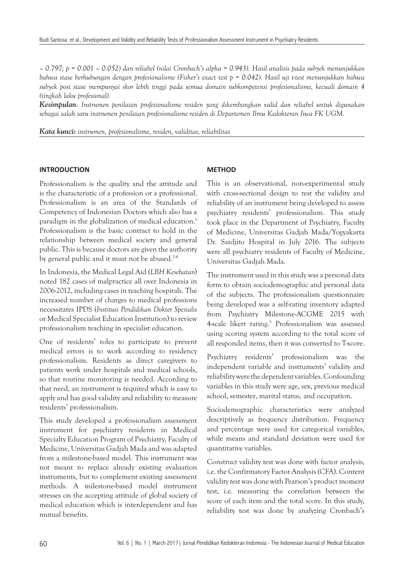*– 0.797; p = 0.001 – 0.052) dan reliabel (nilai Cronbach's alpha = 0.943). Hasil analisis pada subyek menunjukkan bahwa stase berhubungan dengan profesionalisme (Fisher's exact test p = 0.042). Hasil uji t-test menunjukkan bahwa subyek post stase mempunyai skor lebih tinggi pada semua domain subkompetensi profesionalisme, kecuali domain 4 (tingkah laku profesional).*

*Kesimpulan: Instrumen penilaian profesionalisme residen yang dikembangkan valid dan reliabel untuk digunakan sebagai salah satu instrumen penilaian profesionalisme residen di Departemen Ilmu Kedokteran Jiwa FK UGM.*

*Kata kunci: instrumen, profesionalisme, residen, validitas, reliabilitas*

#### **INTRODUCTION**

Professionalism is the quality and the attitude and is the characteristic of a profession or a professional. Professionalism is an area of the Standards of Competency of Indonesian Doctors which also has a paradigm in the globalization of medical education.<sup>1</sup> Professionalism is the basic contract to hold in the relationship between medical society and general public. This is because doctors are given the authority by general public and it must not be abused.<sup>24</sup>

In Indonesia, the Medical Legal Aid (*LBH Kesehatan*) noted 182 cases of malpractice all over Indonesia in 2006-2012, including cases in teaching hospitals. The increased number of charges to medical professions necessitates IPDS (*Institusi Pendidikan Dokter Spesialis*  or Medical Specialist Education Institution) to review professionalism teaching in specialist education.

One of residents' roles to participate to prevent medical errors is to work according to residency professionalism. Residents as direct caregivers to patients work under hospitals and medical schools, so that routine monitoring is needed. According to that need, an instrument is required which is easy to apply and has good validity and reliability to measure residents' professionalism.

This study developed a professionalism assessment instrument for psychiatry residents in Medical Specialty Education Program of Psychiatry, Faculty of Medicine, Universitas Gadjah Mada and was adapted from a milestone-based model. This instrument was not meant to replace already existing evaluation instruments, but to complement existing assessment methods. A milestone-based model instrument stresses on the accepting attitude of global society of medical education which is interdependent and has mutual benefits.

#### **METHOD**

This is an observational, non-experimental study with cross-sectional design to test the validity and reliability of an instrument being developed to assess psychiatry residents' professionalism. This study took place in the Department of Psychiatry, Faculty of Medicine, Universitas Gadjah Mada/Yogyakarta Dr. Sardjito Hospital in July 2016. The subjects were all psychiatry residents of Faculty of Medicine, Universitas Gadjah Mada.

The instrument used in this study was a personal data form to obtain sociodemographic and personal data of the subjects. The professionalism questionnaire being developed was a self-rating inventory adapted from Psychiatry Milestone-ACGME 2015 with 4-scale likert rating.<sup>5</sup> Professionalism was assessed using scoring system according to the total score of all responded items, then it was converted to T-score.

Psychiatry residents' professionalism was the independent variable and instruments' validity and reliability were the dependent variables. Confounding variables in this study were age, sex, previous medical school, semester, marital status, and occupation.

Sociodemographic characteristics were analyzed descriptively as frequency distribution. Frequency and percentage were used for categorical variables, while means and standard deviation were used for quantitative variables.

Construct validity test was done with factor analysis, i.e. the Confirmatory Factor Analysis (CFA). Content validity test was done with Pearson's product moment test, i.e. measuring the correlation between the score of each item and the total score. In this study, reliability test was done by analyzing Cronbach's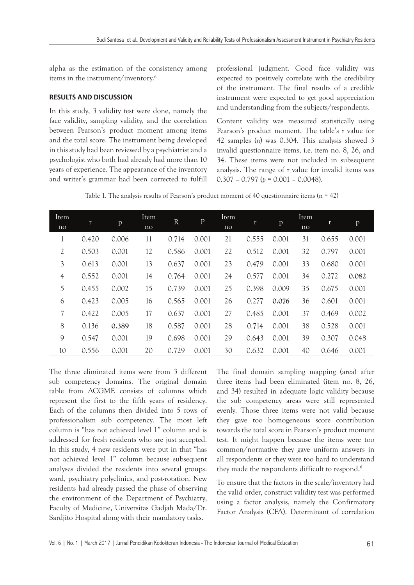alpha as the estimation of the consistency among items in the instrument/inventory.6

## **RESULTS AND DISCUSSION**

In this study, 3 validity test were done, namely the face validity, sampling validity, and the correlation between Pearson's product moment among items and the total score. The instrument being developed in this study had been reviewed by a psychiatrist and a psychologist who both had already had more than 10 years of experience. The appearance of the inventory and writer's grammar had been corrected to fulfill professional judgment. Good face validity was expected to positively correlate with the credibility of the instrument. The final results of a credible instrument were expected to get good appreciation and understanding from the subjects/respondents.

Content validity was measured statistically using Pearson's product moment. The table's *r* value for 42 samples (*n*) was 0.304. This analysis showed 3 invalid questionnaire items, i.e. item no. 8, 26, and 34. These items were not included in subsequent analysis. The range of *r* value for invalid items was 0.307 – 0.797 (*p* = 0.001 – 0.0048).

Table 1. The analysis results of Pearson's product moment of 40 questionnaire items  $(n = 42)$ 

| Item<br>$\overline{no}$ | r     | p     | Item<br>no | $\mathbf R$ | $\mathbf{P}$ | Item<br>no | r     | p     | Item<br>no | r     | p     |
|-------------------------|-------|-------|------------|-------------|--------------|------------|-------|-------|------------|-------|-------|
|                         | 0.420 | 0.006 | 11         | 0.714       | 0.001        | 21         | 0.555 | 0.001 | 31         | 0.655 | 0.001 |
| $\mathfrak{2}$          | 0.503 | 0.001 | 12         | 0.586       | 0.001        | 22         | 0.512 | 0.001 | 32         | 0.797 | 0.001 |
| 3                       | 0.613 | 0.001 | 13         | 0.637       | 0.001        | 23         | 0.479 | 0.001 | 33         | 0.680 | 0.001 |
| 4                       | 0.552 | 0.001 | 14         | 0.764       | 0.001        | 24         | 0.577 | 0.001 | 34         | 0.272 | 0.082 |
| 5                       | 0.455 | 0.002 | 15         | 0.739       | 0.001        | 25         | 0.398 | 0.009 | 35         | 0.675 | 0.001 |
| 6                       | 0.423 | 0.005 | 16         | 0.565       | 0.001        | 26         | 0.277 | 0.076 | 36         | 0.601 | 0.001 |
| 7                       | 0.422 | 0.005 | 17         | 0.637       | 0.001        | 27         | 0.485 | 0.001 | 37         | 0.469 | 0.002 |
| 8                       | 0.136 | 0.389 | 18         | 0.587       | 0.001        | 28         | 0.714 | 0.001 | 38         | 0.528 | 0.001 |
| 9                       | 0.547 | 0.001 | 19         | 0.698       | 0.001        | 29         | 0.643 | 0.001 | 39         | 0.307 | 0.048 |
| 10                      | 0.556 | 0.001 | 20         | 0.729       | 0.001        | 30         | 0.632 | 0.001 | 40         | 0.646 | 0.001 |

The three eliminated items were from 3 different sub competency domains. The original domain table from ACGME consists of columns which represent the first to the fifth years of residency. Each of the columns then divided into 5 rows of professionalism sub competency. The most left column is "has not achieved level 1" column and is addressed for fresh residents who are just accepted. In this study, 4 new residents were put in that "has not achieved level 1" column because subsequent analyses divided the residents into several groups: ward, psychiatry polyclinics, and post-rotation. New residents had already passed the phase of observing the environment of the Department of Psychiatry, Faculty of Medicine, Universitas Gadjah Mada/Dr. Sardjito Hospital along with their mandatory tasks.

The final domain sampling mapping (area) after three items had been eliminated (item no. 8, 26, and 34) resulted in adequate logic validity because the sub competency areas were still represented evenly. Those three items were not valid because they gave too homogeneous score contribution towards the total score in Pearson's product moment test. It might happen because the items were too common/normative they gave uniform answers in all respondents or they were too hard to understand they made the respondents difficult to respond.<sup>6</sup>

To ensure that the factors in the scale/inventory had the valid order, construct validity test was performed using a factor analysis, namely the Confirmatory Factor Analysis (CFA). Determinant of correlation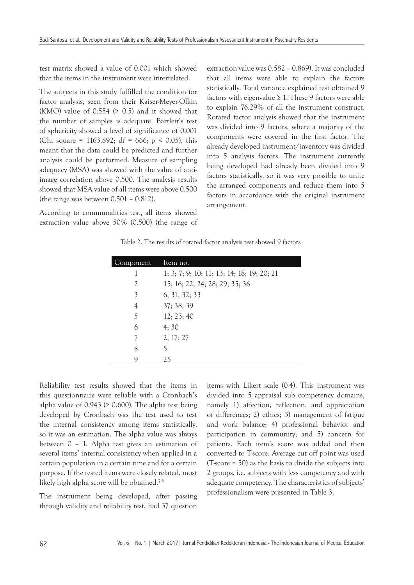test matrix showed a value of 0.001 which showed that the items in the instrument were interrelated.

The subjects in this study fulfilled the condition for factor analysis, seen from their Kaiser-Meyer-Olkin (KMO) value of  $0.554$  ( $> 0.5$ ) and it showed that the number of samples is adequate. Bartlett's test of sphericity showed a level of significance of 0.001 (Chi square = 1163.892; df = 666; *p* < 0.05), this meant that the data could be predicted and further analysis could be performed. Measure of sampling adequacy (MSA) was showed with the value of antiimage correlation above 0.500. The analysis results showed that MSA value of all items were above 0.500 (the range was between 0.501 – 0.812).

According to communalities test, all items showed extraction value above 50% (0.500) (the range of extraction value was 0.582 – 0.869). It was concluded that all items were able to explain the factors statistically. Total variance explained test obtained 9 factors with eigenvalue  $\geq 1$ . These 9 factors were able to explain 76.29% of all the instrument construct. Rotated factor analysis showed that the instrument was divided into 9 factors, where a majority of the components were covered in the first factor. The already developed instrument/inventory was divided into 5 analysis factors. The instrument currently being developed had already been divided into 9 factors statistically, so it was very possible to unite the arranged components and reduce them into 5 factors in accordance with the original instrument arrangement.

|  |  |  |  |  |  |  | Table 2. The results of rotated factor analysis test showed 9 factors |  |  |
|--|--|--|--|--|--|--|-----------------------------------------------------------------------|--|--|
|--|--|--|--|--|--|--|-----------------------------------------------------------------------|--|--|

| omponent | Item no.                                   |
|----------|--------------------------------------------|
|          | 1; 3; 7; 9; 10; 11; 13; 14; 18; 19; 20; 21 |
| 2        | 15; 16; 22; 24; 28; 29; 35; 36             |
| 3        | 6; 31; 32; 33                              |
| 4        | 37; 38; 39                                 |
| 5        | 12; 23; 40                                 |
| 6        | 4:30                                       |
| 7        | 2; 17; 27                                  |
| 8        |                                            |
| Q        | 25                                         |

Reliability test results showed that the items in this questionnaire were reliable with a Cronbach's alpha value of  $0.943$  ( $> 0.600$ ). The alpha test being developed by Cronbach was the test used to test the internal consistency among items statistically, so it was an estimation. The alpha value was always between 0 – 1. Alpha test gives an estimation of several items' internal consistency when applied in a certain population in a certain time and for a certain purpose. If the tested items were closely related, most likely high alpha score will be obtained.7,8

The instrument being developed, after passing through validity and reliability test, had 37 question items with Likert scale (0-4). This instrument was divided into 5 appraisal sub competency domains, namely 1) affection, reflection, and appreciation of differences; 2) ethics; 3) management of fatigue and work balance; 4) professional behavior and participation in community; and 5) concern for patients. Each item's score was added and then converted to T-score. Average cut off point was used (T-score = 50) as the basis to divide the subjects into 2 groups, i.e. subjects with less competency and with adequate competency. The characteristics of subjects' professionalism were presented in Table 3.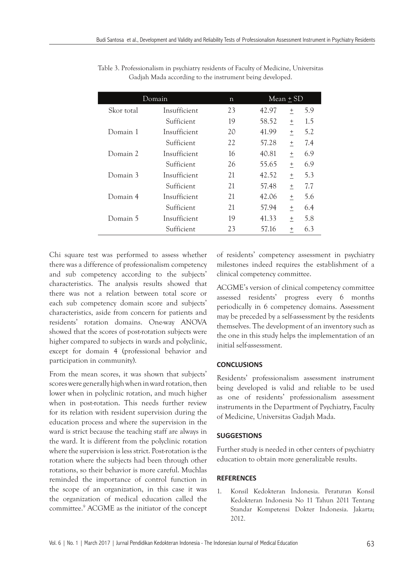|            | Domain       | n  | Mean $\pm$ SD |                                  |     |  |
|------------|--------------|----|---------------|----------------------------------|-----|--|
| Skor total | Insufficient | 23 | 42.97         | $^{+}$                           | 5.9 |  |
|            | Sufficient   | 19 | 58.52         | $^{+}$                           | 1.5 |  |
| Domain 1   | Insufficient | 20 | 41.99         | $^{+}$                           | 5.2 |  |
|            | Sufficient   | 22 | 57.28         | $^{+}$                           | 7.4 |  |
| Domain 2   | Insufficient | 16 | 40.81         | $^{+}$                           | 6.9 |  |
|            | Sufficient   | 26 | 55.65         | $+$                              | 6.9 |  |
| Domain 3   | Insufficient | 21 | 42.52         | $+$                              | 5.3 |  |
|            | Sufficient   | 21 | 57.48         | $^{+}$                           | 7.7 |  |
| Domain 4   | Insufficient | 21 | 42.06         | $\! + \!\!\!\!$                  | 5.6 |  |
|            | Sufficient   | 21 | 57.94         | $^{+}$                           | 6.4 |  |
| Domain 5   | Insufficient | 19 | 41.33         | $^{+}$                           | 5.8 |  |
|            | Sufficient   | 23 | 57.16         | $\begin{array}{c} + \end{array}$ | 6.3 |  |

Table 3. Professionalism in psychiatry residents of Faculty of Medicine, Universitas Gadjah Mada according to the instrument being developed.

Chi square test was performed to assess whether there was a difference of professionalism competency and sub competency according to the subjects' characteristics. The analysis results showed that there was not a relation between total score or each sub competency domain score and subjects' characteristics, aside from concern for patients and residents' rotation domains. One-way ANOVA showed that the scores of post-rotation subjects were higher compared to subjects in wards and polyclinic, except for domain 4 (professional behavior and participation in community).

From the mean scores, it was shown that subjects' scores were generally high when in ward rotation, then lower when in polyclinic rotation, and much higher when in post-rotation. This needs further review for its relation with resident supervision during the education process and where the supervision in the ward is strict because the teaching staff are always in the ward. It is different from the polyclinic rotation where the supervision is less strict. Post-rotation is the rotation where the subjects had been through other rotations, so their behavior is more careful. Muchlas reminded the importance of control function in the scope of an organization, in this case it was the organization of medical education called the committee.9 ACGME as the initiator of the concept of residents' competency assessment in psychiatry milestones indeed requires the establishment of a clinical competency committee.

ACGME's version of clinical competency committee assessed residents' progress every 6 months periodically in 6 competency domains. Assessment may be preceded by a self-assessment by the residents themselves. The development of an inventory such as the one in this study helps the implementation of an initial self-assessment.

## **CONCLUSIONS**

Residents' professionalism assessment instrument being developed is valid and reliable to be used as one of residents' professionalism assessment instruments in the Department of Psychiatry, Faculty of Medicine, Universitas Gadjah Mada.

## **SUGGESTIONS**

Further study is needed in other centers of psychiatry education to obtain more generalizable results.

## **REFERENCES**

1. Konsil Kedokteran Indonesia. Peraturan Konsil Kedokteran Indonesia No 11 Tahun 2011 Tentang Standar Kompetensi Dokter Indonesia. Jakarta; 2012.